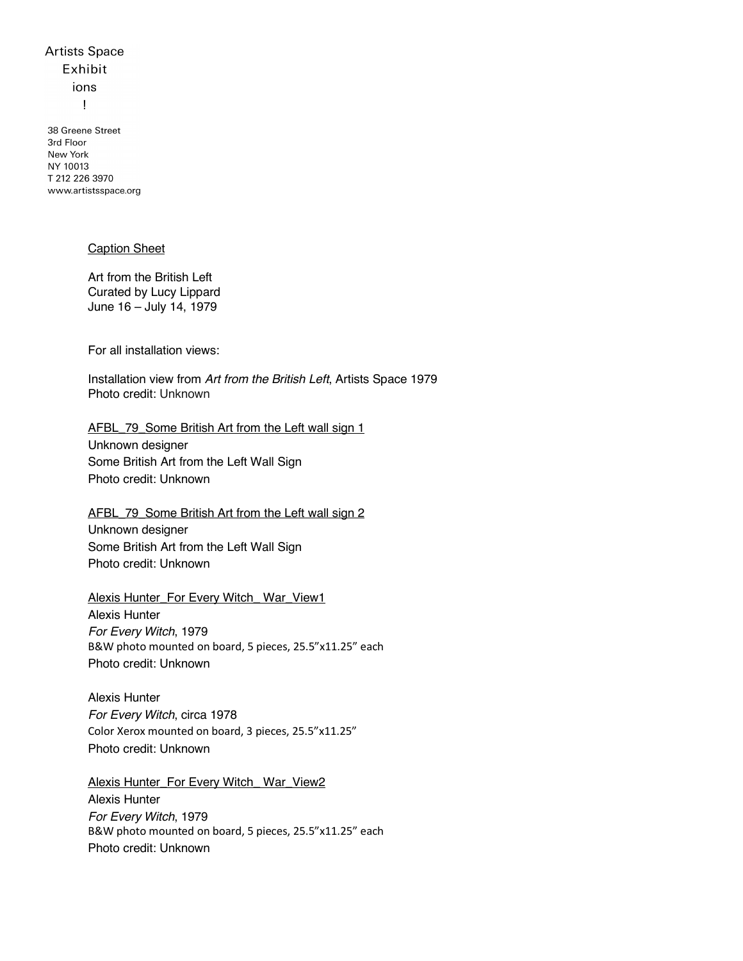## **Artists Space** Exhibit ions  $\mathbf{I}$

38 Greene Street 3rd Floor New York NY 10013 T 212 226 3970 www.artistsspace.org

#### Caption Sheet

Art from the British Left Curated by Lucy Lippard June 16 – July 14, 1979

For all installation views:

Installation view from *Art from the British Left*, Artists Space 1979 Photo credit: Unknown

AFBL 79 Some British Art from the Left wall sign 1

Unknown designer Some British Art from the Left Wall Sign Photo credit: Unknown

AFBL\_79\_Some British Art from the Left wall sign 2 Unknown designer Some British Art from the Left Wall Sign Photo credit: Unknown

Alexis Hunter\_For Every Witch\_ War\_View1 Alexis Hunter *For Every Witch*, 1979 B&W photo mounted on board, 5 pieces, 25.5"x11.25" each Photo credit: Unknown

Alexis Hunter *For Every Witch*, circa 1978 Color Xerox mounted on board, 3 pieces, 25.5"x11.25" Photo credit: Unknown

Alexis Hunter\_For Every Witch\_ War\_View2 Alexis Hunter *For Every Witch*, 1979 B&W photo mounted on board, 5 pieces, 25.5"x11.25" each Photo credit: Unknown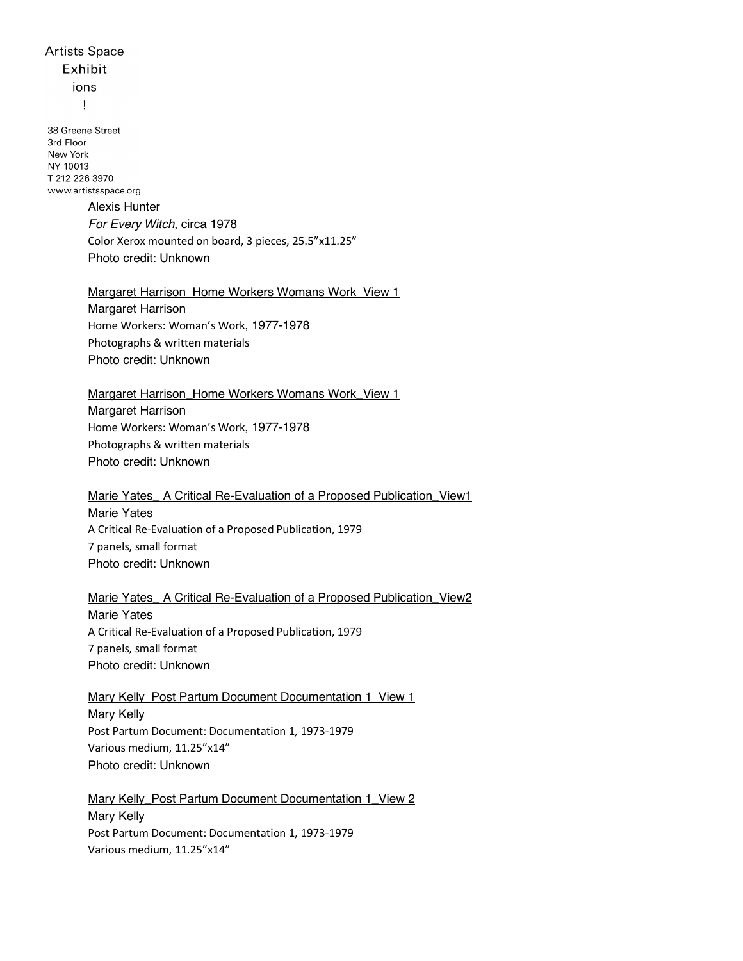# **Artists Space** Exhibit ions

 $\mathbf{I}$ 

38 Greene Street 3rd Floor New York NY 10013 T 212 226 3970 www.artistsspace.org

## Alexis Hunter *For Every Witch*, circa 1978 Color Xerox mounted on board, 3 pieces, 25.5"x11.25" Photo credit: Unknown

#### Margaret Harrison Home Workers Womans Work View 1

Margaret Harrison Home Workers: Woman's Work, 1977-1978 Photographs & written materials Photo credit: Unknown

#### Margaret Harrison Home Workers Womans Work View 1

Margaret Harrison Home Workers: Woman's Work, 1977-1978 Photographs & written materials Photo credit: Unknown

#### Marie Yates A Critical Re-Evaluation of a Proposed Publication View1 Marie Yates A Critical Re-Evaluation of a Proposed Publication, 1979 7 panels, small format Photo credit: Unknown

Marie Yates A Critical Re-Evaluation of a Proposed Publication View2 Marie Yates A Critical Re-Evaluation of a Proposed Publication, 1979 7 panels, small format Photo credit: Unknown

### Mary Kelly\_Post Partum Document Documentation 1\_View 1 Mary Kelly Post Partum Document: Documentation 1, 1973-1979 Various medium, 11.25"x14" Photo credit: Unknown

Mary Kelly\_Post Partum Document Documentation 1\_View 2 Mary Kelly Post Partum Document: Documentation 1, 1973-1979 Various medium, 11.25"x14"